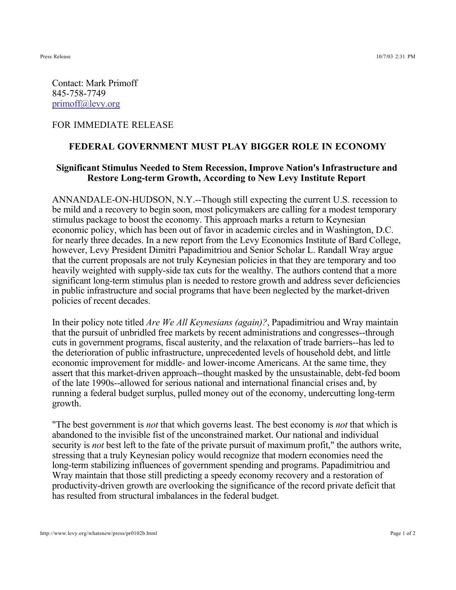Contact: Mark Primoff 845-758-7749 primoff@levy.org

## FOR IMMEDIATE RELEASE

## **FEDERAL GOVERNMENT MUST PLAY BIGGER ROLE IN ECONOMY**

## **Significant Stimulus Needed to Stem Recession, Improve Nation's Infrastructure and Restore Long-term Growth, According to New Levy Institute Report**

ANNANDALE-ON-HUDSON, N.Y.--Though still expecting the current U.S. recession to be mild and a recovery to begin soon, most policymakers are calling for a modest temporary stimulus package to boost the economy. This approach marks a return to Keynesian economic policy, which has been out of favor in academic circles and in Washington, D.C. for nearly three decades. In a new report from the Levy Economics Institute of Bard College, however, Levy President Dimitri Papadimitriou and Senior Scholar L. Randall Wray argue that the current proposals are not truly Keynesian policies in that they are temporary and too heavily weighted with supply-side tax cuts for the wealthy. The authors contend that a more significant long-term stimulus plan is needed to restore growth and address sever deficiencies in public infrastructure and social programs that have been neglected by the market-driven policies of recent decades.

In their policy note titled *Are We All Keynesians (again)?*, Papadimitriou and Wray maintain that the pursuit of unbridled free markets by recent administrations and congresses--through cuts in government programs, fiscal austerity, and the relaxation of trade barriers--has led to the deterioration of public infrastructure, unprecedented levels of household debt, and little economic improvement for middle- and lower-income Americans. At the same time, they assert that this market-driven approach--thought masked by the unsustainable, debt-fed boom of the late 1990s--allowed for serious national and international financial crises and, by running a federal budget surplus, pulled money out of the economy, undercutting long-term growth.

"The best government is *not* that which governs least. The best economy is *not* that which is abandoned to the invisible fist of the unconstrained market. Our national and individual security is *not* best left to the fate of the private pursuit of maximum profit," the authors write, stressing that a truly Keynesian policy would recognize that modern economies need the long-term stabilizing influences of government spending and programs. Papadimitriou and Wray maintain that those still predicting a speedy economy recovery and a restoration of productivity-driven growth are overlooking the significance of the record private deficit that has resulted from structural imbalances in the federal budget.